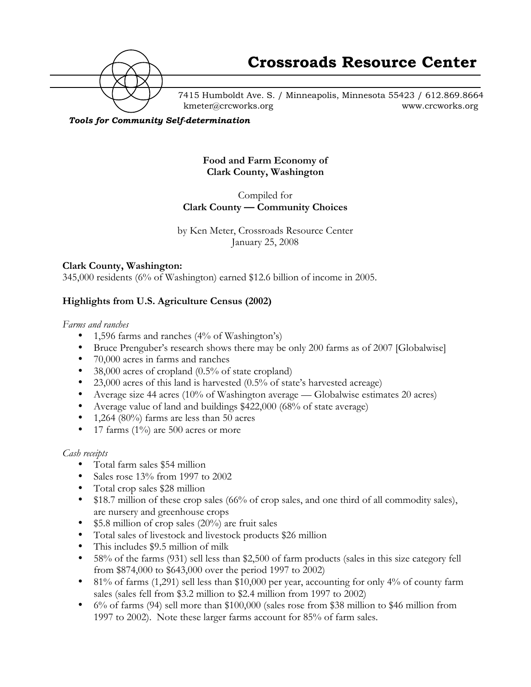

7415 Humboldt Ave. S. / Minneapolis, Minnesota 55423 / 612.869.8664 kmeter@crcworks.org www.crcworks.org

#### *Tools for Community Self-determination*

**Food and Farm Economy of Clark County, Washington**

Compiled for **Clark County — Community Choices**

by Ken Meter, Crossroads Resource Center January 25, 2008

#### **Clark County, Washington:**

345,000 residents (6% of Washington) earned \$12.6 billion of income in 2005.

## **Highlights from U.S. Agriculture Census (2002)**

*Farms and ranches*

1,596 farms and ranches (4% of Washington's) Bruce Prenguber's research shows there may be only 200 farms as of 2007 [Globalwise] 70,000 acres in farms and ranches 38,000 acres of cropland (0.5% of state cropland) 23,000 acres of this land is harvested (0.5% of state's harvested acreage) Average size 44 acres (10% of Washington average — Globalwise estimates 20 acres) Average value of land and buildings \$422,000 (68% of state average) 1,264 (80%) farms are less than 50 acres 17 farms  $(1\%)$  are 500 acres or more

*Cash receipts*

Total farm sales \$54 million Sales rose 13% from 1997 to 2002 Total crop sales \$28 million \$18.7 million of these crop sales (66% of crop sales, and one third of all commodity sales), are nursery and greenhouse crops \$5.8 million of crop sales (20%) are fruit sales Total sales of livestock and livestock products \$26 million This includes \$9.5 million of milk 58% of the farms (931) sell less than \$2,500 of farm products (sales in this size category fell from \$874,000 to \$643,000 over the period 1997 to 2002) 81% of farms (1,291) sell less than \$10,000 per year, accounting for only 4% of county farm sales (sales fell from \$3.2 million to \$2.4 million from 1997 to 2002) 6% of farms (94) sell more than \$100,000 (sales rose from \$38 million to \$46 million from 1997 to 2002). Note these larger farms account for 85% of farm sales.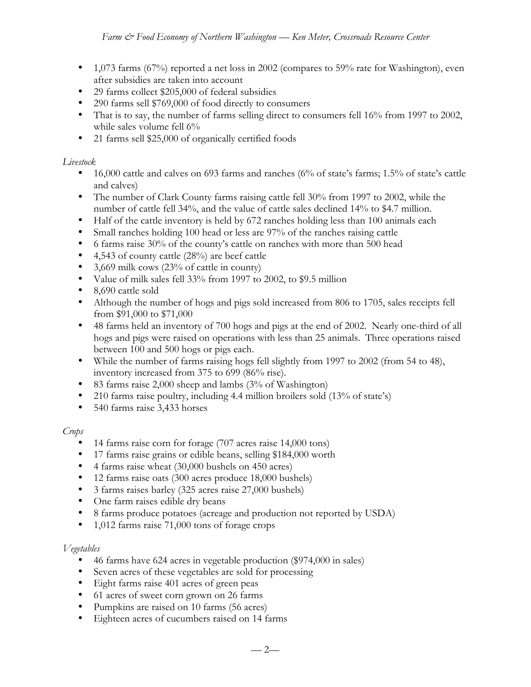1,073 farms (67%) reported a net loss in 2002 (compares to 59% rate for Washington), even after subsidies are taken into account

29 farms collect \$205,000 of federal subsidies

290 farms sell \$769,000 of food directly to consumers

That is to say, the number of farms selling direct to consumers fell 16% from 1997 to 2002, while sales volume fell 6%

21 farms sell \$25,000 of organically certified foods

## *Livestock*

16,000 cattle and calves on 693 farms and ranches (6% of state's farms; 1.5% of state's cattle and calves)

The number of Clark County farms raising cattle fell 30% from 1997 to 2002, while the number of cattle fell 34%, and the value of cattle sales declined 14% to \$4.7 million. Half of the cattle inventory is held by 672 ranches holding less than 100 animals each

Small ranches holding 100 head or less are 97% of the ranches raising cattle

6 farms raise 30% of the county's cattle on ranches with more than 500 head

4,543 of county cattle (28%) are beef cattle

3,669 milk cows (23% of cattle in county)

Value of milk sales fell 33% from 1997 to 2002, to \$9.5 million

8,690 cattle sold

Although the number of hogs and pigs sold increased from 806 to 1705, sales receipts fell from \$91,000 to \$71,000

48 farms held an inventory of 700 hogs and pigs at the end of 2002. Nearly one-third of all hogs and pigs were raised on operations with less than 25 animals. Three operations raised between 100 and 500 hogs or pigs each.

While the number of farms raising hogs fell slightly from 1997 to 2002 (from 54 to 48), inventory increased from 375 to 699 (86% rise).

83 farms raise 2,000 sheep and lambs (3% of Washington)

210 farms raise poultry, including 4.4 million broilers sold (13% of state's)

540 farms raise 3,433 horses

## *Crops*

14 farms raise corn for forage (707 acres raise 14,000 tons)

17 farms raise grains or edible beans, selling \$184,000 worth

4 farms raise wheat (30,000 bushels on 450 acres)

12 farms raise oats (300 acres produce 18,000 bushels)

3 farms raises barley (325 acres raise 27,000 bushels)

One farm raises edible dry beans

8 farms produce potatoes (acreage and production not reported by USDA)

1,012 farms raise 71,000 tons of forage crops

## *Vegetables*

46 farms have 624 acres in vegetable production (\$974,000 in sales) Seven acres of these vegetables are sold for processing Eight farms raise 401 acres of green peas 61 acres of sweet corn grown on 26 farms Pumpkins are raised on 10 farms (56 acres) Eighteen acres of cucumbers raised on 14 farms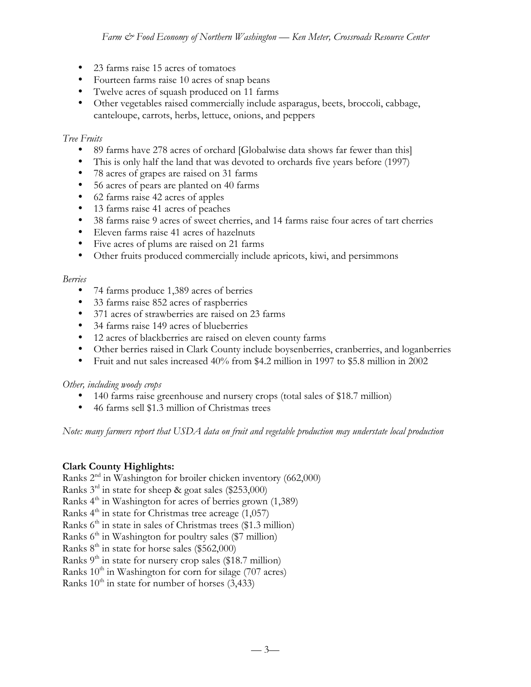23 farms raise 15 acres of tomatoes Fourteen farms raise 10 acres of snap beans Twelve acres of squash produced on 11 farms Other vegetables raised commercially include asparagus, beets, broccoli, cabbage, canteloupe, carrots, herbs, lettuce, onions, and peppers

## *Tree Fruits*

89 farms have 278 acres of orchard [Globalwise data shows far fewer than this] This is only half the land that was devoted to orchards five years before (1997) 78 acres of grapes are raised on 31 farms 56 acres of pears are planted on 40 farms 62 farms raise 42 acres of apples 13 farms raise 41 acres of peaches 38 farms raise 9 acres of sweet cherries, and 14 farms raise four acres of tart cherries Eleven farms raise 41 acres of hazelnuts Five acres of plums are raised on 21 farms Other fruits produced commercially include apricots, kiwi, and persimmons

# *Berries*

74 farms produce 1,389 acres of berries 33 farms raise 852 acres of raspberries 371 acres of strawberries are raised on 23 farms 34 farms raise 149 acres of blueberries 12 acres of blackberries are raised on eleven county farms Other berries raised in Clark County include boysenberries, cranberries, and loganberries Fruit and nut sales increased 40% from \$4.2 million in 1997 to \$5.8 million in 2002

## *Other, including woody crops*

140 farms raise greenhouse and nursery crops (total sales of \$18.7 million) 46 farms sell \$1.3 million of Christmas trees

*Note: many farmers report that USDA data on fruit and vegetable production may understate local production*

# **Clark County Highlights:**

Ranks  $2<sup>nd</sup>$  in Washington for broiler chicken inventory (662,000) Ranks  $3<sup>rd</sup>$  in state for sheep & goat sales (\$253,000) Ranks  $4<sup>th</sup>$  in Washington for acres of berries grown (1,389) Ranks  $4<sup>th</sup>$  in state for Christmas tree acreage (1,057) Ranks  $6<sup>th</sup>$  in state in sales of Christmas trees (\$1.3 million) Ranks  $6<sup>th</sup>$  in Washington for poultry sales (\$7 million) Ranks  $8<sup>th</sup>$  in state for horse sales (\$562,000) Ranks  $9<sup>th</sup>$  in state for nursery crop sales (\$18.7 million) Ranks  $10<sup>th</sup>$  in Washington for corn for silage (707 acres)

Ranks  $10^{th}$  in state for number of horses  $(3,433)$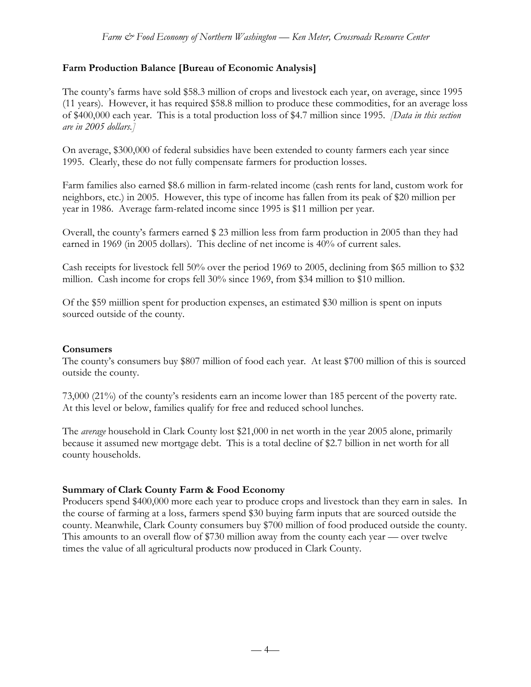# **Farm Production Balance [Bureau of Economic Analysis]**

The county's farms have sold \$58.3 million of crops and livestock each year, on average, since 1995 (11 years). However, it has required \$58.8 million to produce these commodities, for an average loss of \$400,000 each year. This is a total production loss of \$4.7 million since 1995. *[Data in this section are in 2005 dollars.]*

On average, \$300,000 of federal subsidies have been extended to county farmers each year since 1995. Clearly, these do not fully compensate farmers for production losses.

Farm families also earned \$8.6 million in farm-related income (cash rents for land, custom work for neighbors, etc.) in 2005. However, this type of income has fallen from its peak of \$20 million per year in 1986. Average farm-related income since 1995 is \$11 million per year.

Overall, the county's farmers earned \$ 23 million less from farm production in 2005 than they had earned in 1969 (in 2005 dollars). This decline of net income is 40% of current sales.

Cash receipts for livestock fell 50% over the period 1969 to 2005, declining from \$65 million to \$32 million. Cash income for crops fell 30% since 1969, from \$34 million to \$10 million.

Of the \$59 miillion spent for production expenses, an estimated \$30 million is spent on inputs sourced outside of the county.

## **Consumers**

The county's consumers buy \$807 million of food each year. At least \$700 million of this is sourced outside the county.

73,000 (21%) of the county's residents earn an income lower than 185 percent of the poverty rate. At this level or below, families qualify for free and reduced school lunches.

The *average* household in Clark County lost \$21,000 in net worth in the year 2005 alone, primarily because it assumed new mortgage debt. This is a total decline of \$2.7 billion in net worth for all county households.

## **Summary of Clark County Farm & Food Economy**

Producers spend \$400,000 more each year to produce crops and livestock than they earn in sales. In the course of farming at a loss, farmers spend \$30 buying farm inputs that are sourced outside the county. Meanwhile, Clark County consumers buy \$700 million of food produced outside the county. This amounts to an overall flow of \$730 million away from the county each year — over twelve times the value of all agricultural products now produced in Clark County.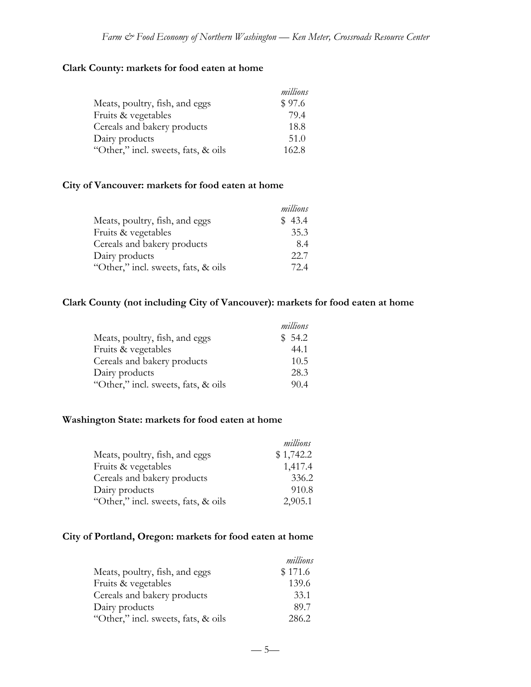# **Clark County: markets for food eaten at home**

|                                     | millions |
|-------------------------------------|----------|
| Meats, poultry, fish, and eggs      | \$97.6   |
| Fruits & vegetables                 | 79.4     |
| Cereals and bakery products         | 18.8     |
| Dairy products                      | 51.0     |
| "Other," incl. sweets, fats, & oils | 162.8    |

#### **City of Vancouver: markets for food eaten at home**

|                                     | millions |
|-------------------------------------|----------|
| Meats, poultry, fish, and eggs      | \$43.4   |
| Fruits & vegetables                 | 35.3     |
| Cereals and bakery products         | 8.4      |
| Dairy products                      | 22.7     |
| "Other," incl. sweets, fats, & oils | 72.4     |

# **Clark County (not including City of Vancouver): markets for food eaten at home**

|                                     | millions |
|-------------------------------------|----------|
| Meats, poultry, fish, and eggs      | \$54.2   |
| Fruits & vegetables                 | 44.1     |
| Cereals and bakery products         | 10.5     |
| Dairy products                      | 28.3     |
| "Other," incl. sweets, fats, & oils | 90.4     |

#### **Washington State: markets for food eaten at home**

|                                     | millions  |
|-------------------------------------|-----------|
| Meats, poultry, fish, and eggs      | \$1,742.2 |
| Fruits & vegetables                 | 1,417.4   |
| Cereals and bakery products         | 336.2     |
| Dairy products                      | 910.8     |
| "Other," incl. sweets, fats, & oils | 2,905.1   |

# **City of Portland, Oregon: markets for food eaten at home**

|                                     | millions |
|-------------------------------------|----------|
| Meats, poultry, fish, and eggs      | \$171.6  |
| Fruits & vegetables                 | 139.6    |
| Cereals and bakery products         | 33.1     |
| Dairy products                      | 89.7     |
| "Other," incl. sweets, fats, & oils | 286.2    |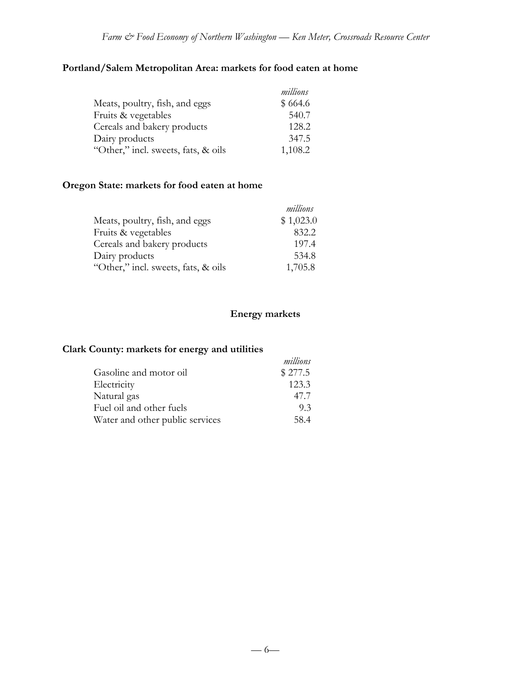# **Portland/Salem Metropolitan Area: markets for food eaten at home**

|                                     | millions |
|-------------------------------------|----------|
| Meats, poultry, fish, and eggs      | \$664.6  |
| Fruits & vegetables                 | 540.7    |
| Cereals and bakery products         | 128.2    |
| Dairy products                      | 347.5    |
| "Other," incl. sweets, fats, & oils | 1,108.2  |

# **Oregon State: markets for food eaten at home**

|                                     | millions  |
|-------------------------------------|-----------|
| Meats, poultry, fish, and eggs      | \$1,023.0 |
| Fruits & vegetables                 | 832.2     |
| Cereals and bakery products         | 197.4     |
| Dairy products                      | 534.8     |
| "Other," incl. sweets, fats, & oils | 1,705.8   |

# **Energy markets**

# **Clark County: markets for energy and utilities**

|                                 | millions |
|---------------------------------|----------|
| Gasoline and motor oil          | \$277.5  |
| Electricity                     | 123.3    |
| Natural gas                     | 47.7     |
| Fuel oil and other fuels        | 9.3      |
| Water and other public services | 58.4     |